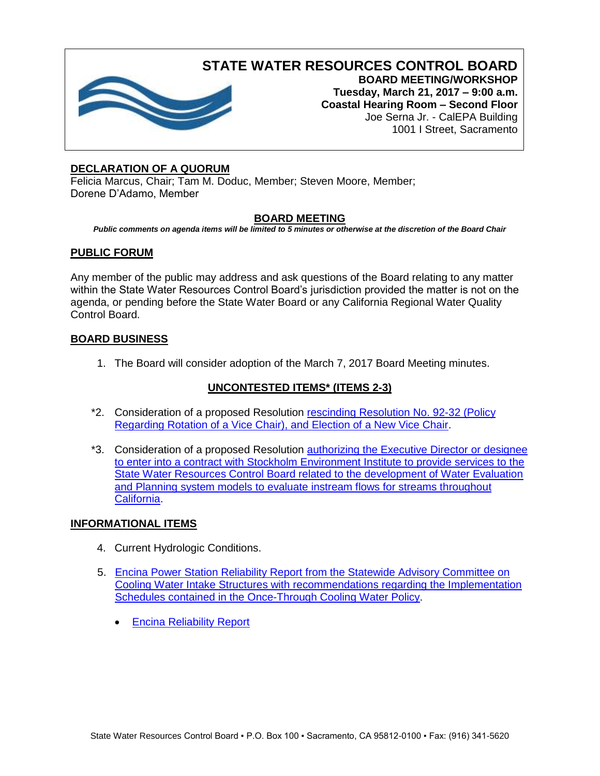

**STATE WATER RESOURCES CONTROL BOARD BOARD MEETING/WORKSHOP**

**Tuesday, March 21, 2017 – 9:00 a.m. Coastal Hearing Room – Second Floor** Joe Serna Jr. - CalEPA Building 1001 I Street, Sacramento

# **DECLARATION OF A QUORUM**

Felicia Marcus, Chair; Tam M. Doduc, Member; Steven Moore, Member; Dorene D'Adamo, Member

## **BOARD MEETING**

*Public comments on agenda items will be limited to 5 minutes or otherwise at the discretion of the Board Chair*

## **PUBLIC FORUM**

Any member of the public may address and ask questions of the Board relating to any matter within the State Water Resources Control Board's jurisdiction provided the matter is not on the agenda, or pending before the State Water Board or any California Regional Water Quality Control Board.

### **BOARD BUSINESS**

1. The Board will consider adoption of the March 7, 2017 Board Meeting minutes.

## **UNCONTESTED ITEMS\* (ITEMS 2-3)**

- \*2. Consideration of a proposed Resolution [rescinding Resolution No. 92-32 \(Policy](http://www.waterboards.ca.gov/board_info/agendas/2017/mar/032117_2.pdf)  [Regarding Rotation of a Vice Chair\), and Election of a New Vice Chair.](http://www.waterboards.ca.gov/board_info/agendas/2017/mar/032117_2.pdf)
- \*3. Consideration of a proposed Resolution [authorizing the Executive Director or designee](http://www.waterboards.ca.gov/board_info/agendas/2017/mar/032117_3.pdf)  [to enter into a contract with Stockholm Environment Institute to provide services to the](http://www.waterboards.ca.gov/board_info/agendas/2017/mar/032117_3.pdf)  [State Water Resources Control Board related to the development of Water Evaluation](http://www.waterboards.ca.gov/board_info/agendas/2017/mar/032117_3.pdf)  [and Planning system models to evaluate instream flows for streams throughout](http://www.waterboards.ca.gov/board_info/agendas/2017/mar/032117_3.pdf)  [California.](http://www.waterboards.ca.gov/board_info/agendas/2017/mar/032117_3.pdf)

## **INFORMATIONAL ITEMS**

- 4. Current Hydrologic Conditions.
- 5. [Encina Power Station Reliability Report from the Statewide Advisory Committee on](http://www.waterboards.ca.gov/board_info/agendas/2017/mar/032117_5.pdf)  [Cooling Water Intake Structures with recommendations regarding the Implementation](http://www.waterboards.ca.gov/board_info/agendas/2017/mar/032117_5.pdf)  [Schedules contained in the Once-Through Cooling Water Policy.](http://www.waterboards.ca.gov/board_info/agendas/2017/mar/032117_5.pdf)
	- [Encina Reliability Report](http://www.waterboards.ca.gov/water_issues/programs/ocean/cwa316/saccwis/docs/saccwis_encina_2018rpt.pdf)